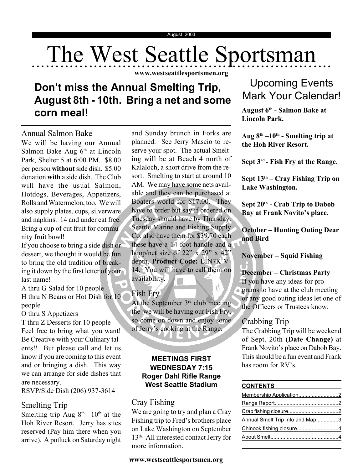# The West Seattle Sportsman

**www.westseattlesportsmen.org**

# **Don't miss the Annual Smelting Trip, August 8th - 10th. Bring a net and some corn meal!**

Annual Salmon Bake We will be having our Annual Salmon Bake Aug  $6<sup>th</sup>$  at Lincoln Park, Shelter 5 at 6:00 PM. \$8.00 per person **without** side dish. \$5.00 donation **with** a side dish. The Club will have the usual Salmon, Hotdogs, Beverages, Appetizers, Rolls and Watermelon, too. We will also supply plates, cups, silverware and napkins. 14 and under eat free. Bring a cup of cut fruit for community fruit bowl!

If you choose to bring a side dish or dessert, we thought it would be fun to bring the old tradition of breaking it down by the first letter of your last name!

A thru G Salad for 10 people H thru N Beans or Hot Dish for 10 people

O thru S Appetizers

T thru Z Desserts for 10 people Feel free to bring what you want! Be Creative with your Culinary talents!! But please call and let us know if you are coming to this event and or bringing a dish. This way we can arrange for side dishes that are necessary.

RSVP/Side Dish (206) 937-3614

### Smelting Trip

Smelting trip Aug  $8<sup>th</sup> - 10<sup>th</sup>$  at the Hoh River Resort. Jerry has sites reserved (Pay him there when you arrive). A potluck on Saturday night

and Sunday brunch in Forks are planned. See Jerry Mascio to reserve your spot. The actual Smelting will be at Beach 4 north of Kalaloch, a short drive from the resort. Smelting to start at around 10 AM. We may have some nets available and they can be purchased at Boaters world for \$17.00. They have to order but say if ordered on Tuesday should have by Thursday. Seattle Marine and Fishing Supply Co. also have them for \$39.70 each these have a 14 foot handle and a hoop/net size of  $22''$  x  $29''$  x  $42''$ depth, **Product Code:** LIN7K-V-14. You will have to call them on availability.

### Fish Fry

At the September  $3<sup>rd</sup>$  club meeting the we will be having our Fish Fry, so come on down and enjoy some of Jerry's cooking at the Range.

### **MEETINGS FIRST WEDNESDAY 7:15 Roger Dahl Rifle Range West Seattle Stadium CONTENTS**

### Cray Fishing

We are going to try and plan a Cray Fishing trip to Fred's brothers place on Lake Washington on September 13th. All interested contact Jerry for more information.

### **www.westseattlesportsmen.org**

# Upcoming Events Mark Your Calendar!

**August 6th - Salmon Bake at Lincoln Park.**

**Aug 8th –10th - Smelting trip at the Hoh River Resort.**

**Sept 3rd - Fish Fry at the Range.**

**Sept 13th – Cray Fishing Trip on Lake Washington.**

**Sept 20th - Crab Trip to Dabob Bay at Frank Novito's place.**

**October – Hunting Outing Dear and Bird**

### **November – Squid Fishing**

### **December – Christmas Party**

If you have any ideas for pro**grams** to have at the club meeting or any good outing ideas let one of the Officers or Trustees know.

### Crabbing Trip

The Crabbing Trip will be weekend of Sept. 20th **(Date Change)** at Frank Novito's place on Dabob Bay. This should be a fun event and Frank has room for RV's.

| Annual Smelt Trip Info and Map3 |  |
|---------------------------------|--|
| Chinook fishing closure4        |  |
|                                 |  |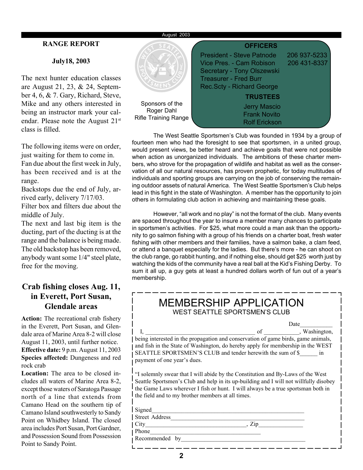### August 2003

### **RANGE REPORT**

### **July18, 2003**

The next hunter education classes are August 21, 23, & 24, September 4, 6, & 7. Gary, Richard, Steve, Mike and any others interested in being an instructor mark your calendar. Please note the August 21<sup>st</sup> class is filled.

The following items were on order, just waiting for them to come in. Fan due about the first week in July, has been received and is at the range.

Backstops due the end of July, arrived early, delivery 7/17/03.

Filter box and filters due about the middle of July.

The next and last big item is the ducting, part of the ducting is at the range and the balance is being made. The old backstop has been removed, anybody want some 1/4" steel plate, free for the moving.

### **Crab fishing closes Aug. 11, in Everett, Port Susan, Glendale areas**

**Action:** The recreational crab fishery in the Everett, Port Susan, and Glendale area of Marine Area 8-2 will close August 11, 2003, until further notice. **Effective date:** 9 p.m. August 11, 2003 **Species affected:** Dungeness and red rock crab

**Location:** The area to be closed includes all waters of Marine Area 8-2, except those waters of Saratoga Passage north of a line that extends from Camano Head on the southern tip of Camano Island southwesterly to Sandy Point on Whidbey Island. The closed area includes Port Susan, Port Gardner, and Possession Sound from Possession Point to Sandy Point.



The West Seattle Sportsmen's Club was founded in 1934 by a group of fourteen men who had the foresight to see that sportsmen, in a united group, would present views, be better heard and achieve goals that were not possible when action as unorganized individuals. The ambitions of these charter members, who strove for the propagation of wildlife and habitat as well as the conservation of all our natural resources, has proven prophetic, for today multitudes of individuals and sporting groups are carrying on the job of conserving the remaining outdoor assets of natural America. The West Seattle Sportsmen's Club helps lead in this fight in the state of Washington. A member has the opportunity to join others in formulating club action in achieving and maintaining these goals.

However, "all work and no play" is not the format of the club. Many events are spaced throughout the year to insure a member many chances to participate in sportsmen's activities. For \$25, what more could a man ask than the opportunity to go salmon fishing with a group of his friends on a charter boat, fresh water fishing with other members and their families, have a salmon bake, a clam feed, or attend a banquet especially for the ladies. But there's more - he can shoot on the club range, go rabbit hunting, and if nothing else, should get \$25 worth just by watching the kids of the community have a real ball at the Kid's Fishing Derby. To sum it all up, a guy gets at least a hundred dollars worth of fun out of a year's membership.

| <b>MEMBERSHIP APPLICATION</b><br><b>WEST SEATTLE SPORTSMEN'S CLUB</b>                                                                                                                                                                                                                                             |                  |  |  |  |  |
|-------------------------------------------------------------------------------------------------------------------------------------------------------------------------------------------------------------------------------------------------------------------------------------------------------------------|------------------|--|--|--|--|
|                                                                                                                                                                                                                                                                                                                   | Date             |  |  |  |  |
| being interested in the propagation and conservation of game birds, game animals,<br>and fish in the State of Washington, do hereby apply for membership in the WEST<br>SEATTLE SPORTSMEN'S CLUB and tender herewith the sum of \$ in<br>payment of one year's dues.                                              | of , Washington, |  |  |  |  |
| "I solemnly swear that I will abide by the Constitution and By-Laws of the West<br>Seattle Sportsmen's Club and help in its up-building and I will not willfully disobey<br>the Game Laws wherever I fish or hunt. I will always be a true sportsman both in<br>the field and to my brother members at all times. |                  |  |  |  |  |
| Signed                                                                                                                                                                                                                                                                                                            |                  |  |  |  |  |
| <b>Street Address</b>                                                                                                                                                                                                                                                                                             |                  |  |  |  |  |
| City<br>$\mathbf{Z}$ ip                                                                                                                                                                                                                                                                                           |                  |  |  |  |  |
| Phone                                                                                                                                                                                                                                                                                                             |                  |  |  |  |  |
| Recommended<br>by                                                                                                                                                                                                                                                                                                 |                  |  |  |  |  |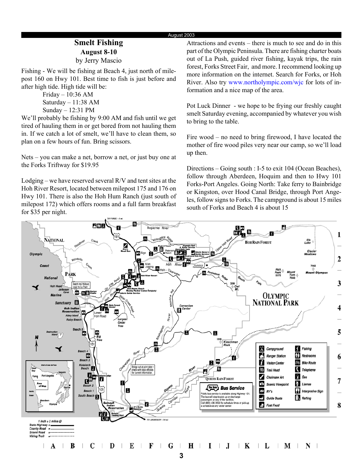### August 2003

### **Smelt Fishing August 8-10** by Jerry Mascio

Fishing - We will be fishing at Beach 4, just north of milepost 160 on Hwy 101. Best time to fish is just before and after high tide. High tide will be:

> Friday – 10:36 AM Saturday – 11:38 AM Sunday – 12:31 PM

We'll probably be fishing by 9:00 AM and fish until we get tired of hauling them in or get bored from not hauling them in. If we catch a lot of smelt, we'll have to clean them, so plan on a few hours of fun. Bring scissors.

Nets – you can make a net, borrow a net, or just buy one at the Forks Triftway for \$19.95

Lodging – we have reserved several R/V and tent sites at the Hoh River Resort, located between milepost 175 and 176 on Hwy 101. There is also the Hoh Hum Ranch (just south of milepost 172) which offers rooms and a full farm breakfast for \$35 per night.

Attractions and events – there is much to see and do in this part of the Olympic Peninsula. There are fishing charter boats out of La Push, guided river fishing, kayak trips, the rain forest, Forks Street Fair, and more. I recommend looking up more information on the internet. Search for Forks, or Hoh River. Also try www.northolympic.com/wjc for lots of information and a nice map of the area.

Pot Luck Dinner - we hope to be frying our freshly caught smelt Saturday evening, accompanied by whatever you wish to bring to the table.

Fire wood – no need to bring firewood, I have located the mother of fire wood piles very near our camp, so we'll load up then.

Directions – Going south : I-5 to exit 104 (Ocean Beaches), follow through Aberdeen, Hoquim and then to Hwy 101 Forks-Port Angeles. Going North: Take ferry to Bainbridge or Kingston, over Hood Canal Bridge, through Port Angeles, follow signs to Forks. The campground is about 15 miles south of Forks and Beach 4 is about 15